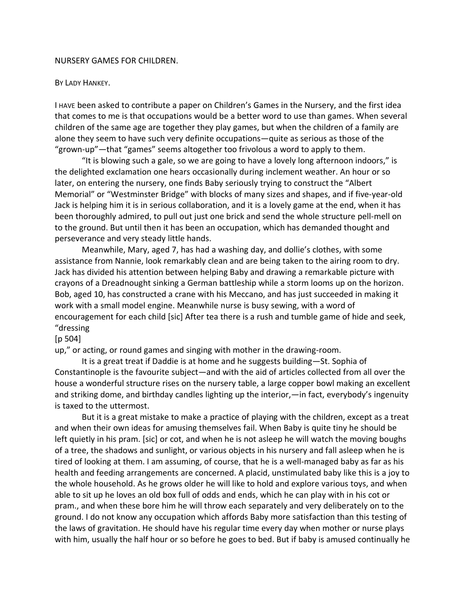## NURSERY GAMES FOR CHILDREN.

## BY LADY HANKEY.

I HAVE been asked to contribute a paper on Children's Games in the Nursery, and the first idea that comes to me is that occupations would be a better word to use than games. When several children of the same age are together they play games, but when the children of a family are alone they seem to have such very definite occupations—quite as serious as those of the "grown-up"—that "games" seems altogether too frivolous a word to apply to them.

"It is blowing such a gale, so we are going to have a lovely long afternoon indoors," is the delighted exclamation one hears occasionally during inclement weather. An hour or so later, on entering the nursery, one finds Baby seriously trying to construct the "Albert Memorial" or "Westminster Bridge" with blocks of many sizes and shapes, and if five-year-old Jack is helping him it is in serious collaboration, and it is a lovely game at the end, when it has been thoroughly admired, to pull out just one brick and send the whole structure pell-mell on to the ground. But until then it has been an occupation, which has demanded thought and perseverance and very steady little hands.

Meanwhile, Mary, aged 7, has had a washing day, and dollie's clothes, with some assistance from Nannie, look remarkably clean and are being taken to the airing room to dry. Jack has divided his attention between helping Baby and drawing a remarkable picture with crayons of a Dreadnought sinking a German battleship while a storm looms up on the horizon. Bob, aged 10, has constructed a crane with his Meccano, and has just succeeded in making it work with a small model engine. Meanwhile nurse is busy sewing, with a word of encouragement for each child [sic] After tea there is a rush and tumble game of hide and seek, "dressing

## [p 504]

up," or acting, or round games and singing with mother in the drawing-room.

It is a great treat if Daddie is at home and he suggests building—St. Sophia of Constantinople is the favourite subject—and with the aid of articles collected from all over the house a wonderful structure rises on the nursery table, a large copper bowl making an excellent and striking dome, and birthday candles lighting up the interior,—in fact, everybody's ingenuity is taxed to the uttermost.

But it is a great mistake to make a practice of playing with the children, except as a treat and when their own ideas for amusing themselves fail. When Baby is quite tiny he should be left quietly in his pram. [sic] or cot, and when he is not asleep he will watch the moving boughs of a tree, the shadows and sunlight, or various objects in his nursery and fall asleep when he is tired of looking at them. I am assuming, of course, that he is a well-managed baby as far as his health and feeding arrangements are concerned. A placid, unstimulated baby like this is a joy to the whole household. As he grows older he will like to hold and explore various toys, and when able to sit up he loves an old box full of odds and ends, which he can play with in his cot or pram., and when these bore him he will throw each separately and very deliberately on to the ground. I do not know any occupation which affords Baby more satisfaction than this testing of the laws of gravitation. He should have his regular time every day when mother or nurse plays with him, usually the half hour or so before he goes to bed. But if baby is amused continually he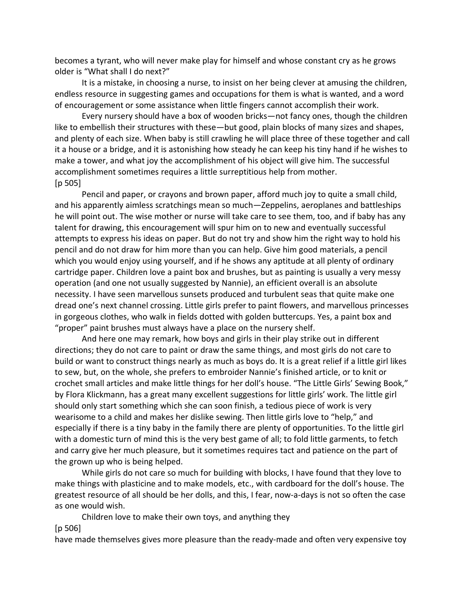becomes a tyrant, who will never make play for himself and whose constant cry as he grows older is "What shall I do next?"

It is a mistake, in choosing a nurse, to insist on her being clever at amusing the children, endless resource in suggesting games and occupations for them is what is wanted, and a word of encouragement or some assistance when little fingers cannot accomplish their work.

Every nursery should have a box of wooden bricks—not fancy ones, though the children like to embellish their structures with these—but good, plain blocks of many sizes and shapes, and plenty of each size. When baby is still crawling he will place three of these together and call it a house or a bridge, and it is astonishing how steady he can keep his tiny hand if he wishes to make a tower, and what joy the accomplishment of his object will give him. The successful accomplishment sometimes requires a little surreptitious help from mother. [p 505]

Pencil and paper, or crayons and brown paper, afford much joy to quite a small child, and his apparently aimless scratchings mean so much—Zeppelins, aeroplanes and battleships he will point out. The wise mother or nurse will take care to see them, too, and if baby has any talent for drawing, this encouragement will spur him on to new and eventually successful attempts to express his ideas on paper. But do not try and show him the right way to hold his pencil and do not draw for him more than you can help. Give him good materials, a pencil which you would enjoy using yourself, and if he shows any aptitude at all plenty of ordinary cartridge paper. Children love a paint box and brushes, but as painting is usually a very messy operation (and one not usually suggested by Nannie), an efficient overall is an absolute necessity. I have seen marvellous sunsets produced and turbulent seas that quite make one dread one's next channel crossing. Little girls prefer to paint flowers, and marvellous princesses in gorgeous clothes, who walk in fields dotted with golden buttercups. Yes, a paint box and "proper" paint brushes must always have a place on the nursery shelf.

And here one may remark, how boys and girls in their play strike out in different directions; they do not care to paint or draw the same things, and most girls do not care to build or want to construct things nearly as much as boys do. It is a great relief if a little girl likes to sew, but, on the whole, she prefers to embroider Nannie's finished article, or to knit or crochet small articles and make little things for her doll's house. "The Little Girls' Sewing Book," by Flora Klickmann, has a great many excellent suggestions for little girls' work. The little girl should only start something which she can soon finish, a tedious piece of work is very wearisome to a child and makes her dislike sewing. Then little girls love to "help," and especially if there is a tiny baby in the family there are plenty of opportunities. To the little girl with a domestic turn of mind this is the very best game of all; to fold little garments, to fetch and carry give her much pleasure, but it sometimes requires tact and patience on the part of the grown up who is being helped.

While girls do not care so much for building with blocks, I have found that they love to make things with plasticine and to make models, etc., with cardboard for the doll's house. The greatest resource of all should be her dolls, and this, I fear, now-a-days is not so often the case as one would wish.

Children love to make their own toys, and anything they

[p 506]

have made themselves gives more pleasure than the ready-made and often very expensive toy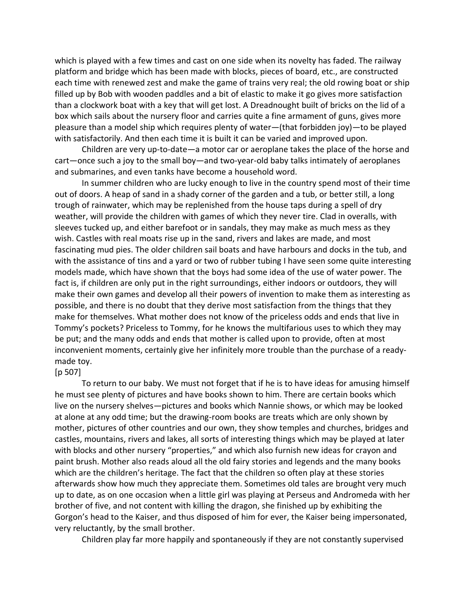which is played with a few times and cast on one side when its novelty has faded. The railway platform and bridge which has been made with blocks, pieces of board, etc., are constructed each time with renewed zest and make the game of trains very real; the old rowing boat or ship filled up by Bob with wooden paddles and a bit of elastic to make it go gives more satisfaction than a clockwork boat with a key that will get lost. A Dreadnought built of bricks on the lid of a box which sails about the nursery floor and carries quite a fine armament of guns, gives more pleasure than a model ship which requires plenty of water—(that forbidden joy)—to be played with satisfactorily. And then each time it is built it can be varied and improved upon.

Children are very up-to-date—a motor car or aeroplane takes the place of the horse and cart—once such a joy to the small boy—and two-year-old baby talks intimately of aeroplanes and submarines, and even tanks have become a household word.

In summer children who are lucky enough to live in the country spend most of their time out of doors. A heap of sand in a shady corner of the garden and a tub, or better still, a long trough of rainwater, which may be replenished from the house taps during a spell of dry weather, will provide the children with games of which they never tire. Clad in overalls, with sleeves tucked up, and either barefoot or in sandals, they may make as much mess as they wish. Castles with real moats rise up in the sand, rivers and lakes are made, and most fascinating mud pies. The older children sail boats and have harbours and docks in the tub, and with the assistance of tins and a yard or two of rubber tubing I have seen some quite interesting models made, which have shown that the boys had some idea of the use of water power. The fact is, if children are only put in the right surroundings, either indoors or outdoors, they will make their own games and develop all their powers of invention to make them as interesting as possible, and there is no doubt that they derive most satisfaction from the things that they make for themselves. What mother does not know of the priceless odds and ends that live in Tommy's pockets? Priceless to Tommy, for he knows the multifarious uses to which they may be put; and the many odds and ends that mother is called upon to provide, often at most inconvenient moments, certainly give her infinitely more trouble than the purchase of a readymade toy.

## [p 507]

To return to our baby. We must not forget that if he is to have ideas for amusing himself he must see plenty of pictures and have books shown to him. There are certain books which live on the nursery shelves—pictures and books which Nannie shows, or which may be looked at alone at any odd time; but the drawing-room books are treats which are only shown by mother, pictures of other countries and our own, they show temples and churches, bridges and castles, mountains, rivers and lakes, all sorts of interesting things which may be played at later with blocks and other nursery "properties," and which also furnish new ideas for crayon and paint brush. Mother also reads aloud all the old fairy stories and legends and the many books which are the children's heritage. The fact that the children so often play at these stories afterwards show how much they appreciate them. Sometimes old tales are brought very much up to date, as on one occasion when a little girl was playing at Perseus and Andromeda with her brother of five, and not content with killing the dragon, she finished up by exhibiting the Gorgon's head to the Kaiser, and thus disposed of him for ever, the Kaiser being impersonated, very reluctantly, by the small brother.

Children play far more happily and spontaneously if they are not constantly supervised